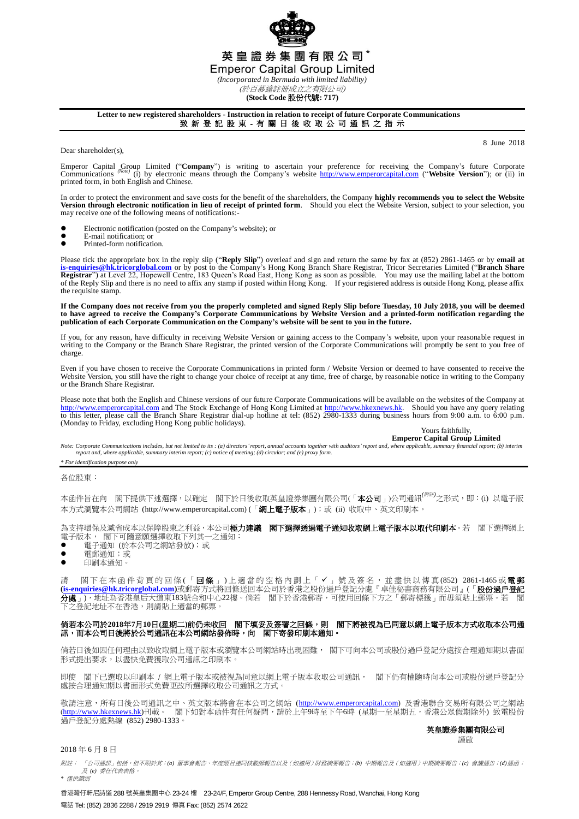

**(Stock Code** 股份代號**: 717)**

**Letter to new registered shareholders - Instruction in relation to receipt of future Corporate Communications** 致 新 登 記 股 東 - 有 關 日 後 收 取 公 司 通 訊 之 指 示

Dear shareholder(s).

8 June 2018

Emperor Capital Group Limited ("Company") is writing to ascertain your preference for receiving the Company's future Corporate Company's future Corporate Company's future Corporate Company's future Corporate Company's webs printed form, in both English and Chinese.

In order to protect the environment and save costs for the benefit of the shareholders, the Company **highly recommends you to select the Website Version through electronic notification in lieu of receipt of printed form**. Should you elect the Website Version, subject to your selection, you may receive one of the following means of notifications:-

- Electronic notification (posted on the Company's website); or
- E-mail notification; or<br>• Printed-form notificati
- Printed-form notification.

Please tick the appropriate box in the reply slip ("**Reply Slip**") overleaf and sign and return the same by fax at (852) 2861-1465 or by **email at** [is-enquiries@hk.tricorglobal.com](mailto:is-enquiries@hk.tricorglobal.com) or by post to the Company's Hong Kong Bra of the Reply Slip and there is no need to affix any stamp if posted within Hong Kong. If your registered address is outside Hong Kong, please affix the requisite stamp.

If the Company does not receive from you the properly completed and signed Reply Slip before Tuesday, 10 July 2018, you will be deemed<br>to have agreed to receive the Company's Corporate Communications by Website Version and **publication of each Corporate Communication on the Company's website will be sent to you in the future.**

If you, for any reason, have difficulty in receiving Website Version or gaining access to the Company's website, upon your reasonable request in writing to the Company or the Branch Share Registrar, the printed version of the Corporate Communications will promptly be sent to you free of charge.

Even if you have chosen to receive the Corporate Communications in printed form / Website Version or deemed to have consented to receive the Website Version, you still have the right to change your choice of receipt at any time, free of charge, by reasonable notice in writing to the Company or the Branch Share Registrar.

Please note that both the English and Chinese versions of our future Corporate Communications will be available on the websites of the Company at [http://www.emperorcapital.com](http://www.emperorcapital.com/) and The Stock Exchange of Hong Kong Limited at to this letter, please call the Branch Share Registrar dial-up hotline at tel: (852) 2980-1333 during business hours from 9:00 a.m. to 6:00 p.m. (Monday to Friday, excluding Hong Kong public holidays).

Yours faithfully,

**Emperor Capital Group Limited**<br>Note: Corporate Communications includes, but not limited to its : (a) directors' report, annual accounts together with auditors' report and, where applicable, summary financial report; (b) i *report and, where applicable, summary interim report; (c) notice of meeting; (d) circular; and (e) proxy form.*

## *\* For identification purpose only*

各位股東:

本函件旨在向 閣下提供下述選擇,以確定 閣下於日後收取英皇證券集團有限公司(「**本公司**」)公司通訊<sup>(*附註)</sup>之形式*,即:(i) 以電子版</sup> 本方式瀏覽本公司網站 (http://www.emperorcapital.com) (「網上電子版本」);或 (ii) 收取中、英文印刷本。

為支持環保及減省成本以保障股東之利益,本公司極力建議 閣下選擇透過電子通知收取網上電子版本以取代印刷本。若 閣下選擇網上 電子版本, 閣下可隨意願選擇收取下列其一之通知:

- 電子通知 (於本公司之網站發放);或
- 電郵通知;或
- 印刷本通知。

請 閣下在本函件背頁的回條(「**回條**」)上適當的空格內劃上「✔」號及簽名,並盡快以傳真(852) 2861-1465或**電郵 [\(is-enquiries@hk.tricorglobal.com\)](mailto:is-enquiries@hk.tricorglobal.com)**或郵寄方式將回條送回本公司於香港之股份過戶登記分處『卓佳秘書商務有限公司』(「股份過戶登記 分處」),地址為香港皇后大道東183號合和中心22樓。倘若 閣下於香港郵寄,可使用回條下方之「郵寄標籤」而毋須貼上郵 ~)。<br>之登記地址不在香港,則請貼上滴當的郵票。

## 倘若本公司於**2018**年**7**月**10**日**(**星期二**)**前仍未收回 閣下填妥及簽署之回條,則 閣下將被視為已同意以網上電子版本方式收取本公司通 訊,而本公司日後將於公司通訊在本公司網站發佈時,向 閣下寄發印刷本通知。

倘若日後如因任何理由以致收取網上電子版本或瀏覽本公司網站時出現困難, 閣下可向本公司或股份過戶登記分處按合理通知期以書面 形式提出要求,以盡快免費獲取公司通訊之印刷本。

即使 閣下已選取以印刷本 / 網上電子版本或被視為同意以網上電子版本收取公司通訊, 閣下仍有權隨時向本公司或股份過戶登記分 處按合理通知期以書面形式免費更改所選擇收取公司通訊之方式。

敬請注意,所有日後公司通訊之中、英文版本將會在本公司之網站 [\(http://www.emperorcapital.com\)](http://www.emperorcapital.com/) 及香港聯合交易所有限公司之網站 (<u>http://www.hkexnews.hk</u>)刊載。 閣下如對本函件有任何疑問,請於上午9時至下午6時 (星期一至星期五,香港公眾假期除外) 致電股份 過戶登記分處熱線 (852) 2980-1333。

## 英皇證券集團有限公司

謹啟

2018 年 6 月 8 日

附註: 「公司通訊」包括,但不限於其:*(a)* 董事會報告、年度賬目連同核數師報告以及(如適用)財務摘要報告;*(b)* 中期報告及(如適用)中期摘要報告;*(c)* 會議通告;*(d)*通函; 及 *(e)* 委任代表表格。 *\** 僅供識別

香港灣仔軒尼詩道 288 號英皇集團中心 23-24 樓 23-24/F, Emperor Group Centre, 288 Hennessy Road, Wanchai, Hong Kong 電話 Tel: (852) 2836 2288 / 2919 2919 傳真 Fax: (852) 2574 2622